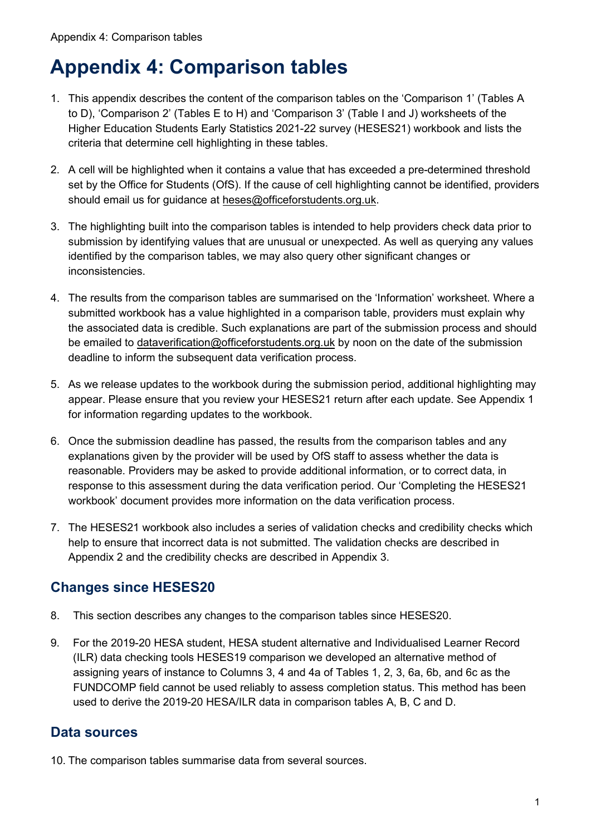# **Appendix 4: Comparison tables**

- 1. This appendix describes the content of the comparison tables on the 'Comparison 1' (Tables A to D), 'Comparison 2' (Tables E to H) and 'Comparison 3' (Table I and J) worksheets of the Higher Education Students Early Statistics 2021-22 survey (HESES21) workbook and lists the criteria that determine cell highlighting in these tables.
- 2. A cell will be highlighted when it contains a value that has exceeded a pre-determined threshold set by the Office for Students (OfS). If the cause of cell highlighting cannot be identified, providers should email us for guidance at [heses@officeforstudents.org.uk.](mailto:heses@officeforstudents.org.uk)
- 3. The highlighting built into the comparison tables is intended to help providers check data prior to submission by identifying values that are unusual or unexpected. As well as querying any values identified by the comparison tables, we may also query other significant changes or inconsistencies.
- 4. The results from the comparison tables are summarised on the 'Information' worksheet. Where a submitted workbook has a value highlighted in a comparison table, providers must explain why the associated data is credible. Such explanations are part of the submission process and should be emailed to [dataverification@officeforstudents.org.uk](mailto:dataverification@officeforstudents.org.uk) by noon on the date of the submission deadline to inform the subsequent data verification process.
- 5. As we release updates to the workbook during the submission period, additional highlighting may appear. Please ensure that you review your HESES21 return after each update. See Appendix 1 for information regarding updates to the workbook.
- 6. Once the submission deadline has passed, the results from the comparison tables and any explanations given by the provider will be used by OfS staff to assess whether the data is reasonable. Providers may be asked to provide additional information, or to correct data, in response to this assessment during the data verification period. Our 'Completing the HESES21 workbook' document provides more information on the data verification process.
- 7. The HESES21 workbook also includes a series of validation checks and credibility checks which help to ensure that incorrect data is not submitted. The validation checks are described in Appendix 2 and the credibility checks are described in Appendix 3.

# **Changes since HESES20**

- 8. This section describes any changes to the comparison tables since HESES20.
- 9. For the 2019-20 HESA student, HESA student alternative and Individualised Learner Record (ILR) data checking tools HESES19 comparison we developed an alternative method of assigning years of instance to Columns 3, 4 and 4a of Tables 1, 2, 3, 6a, 6b, and 6c as the FUNDCOMP field cannot be used reliably to assess completion status. This method has been used to derive the 2019-20 HESA/ILR data in comparison tables A, B, C and D.

#### **Data sources**

10. The comparison tables summarise data from several sources.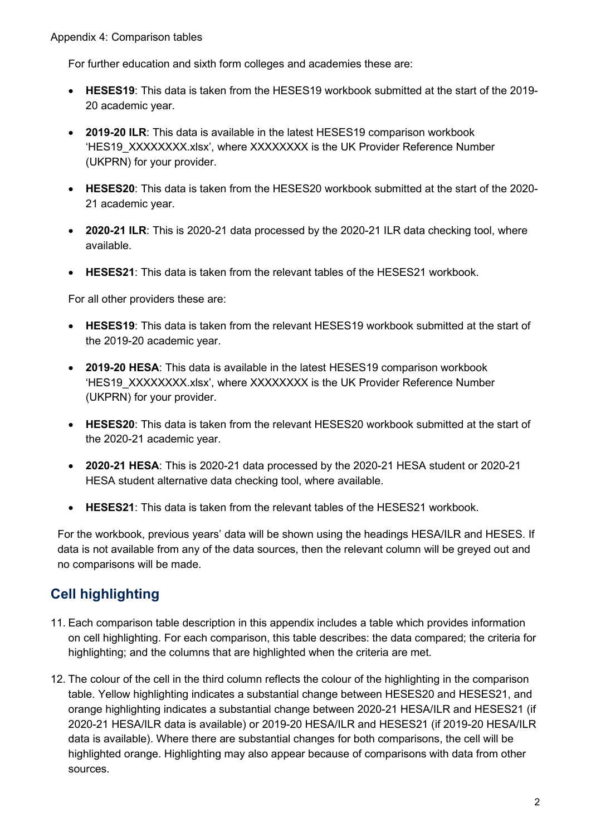For further education and sixth form colleges and academies these are:

- **HESES19**: This data is taken from the HESES19 workbook submitted at the start of the 2019- 20 academic year.
- **2019-20 ILR**: This data is available in the latest HESES19 comparison workbook 'HES19\_XXXXXXXX.xlsx', where XXXXXXXX is the UK Provider Reference Number (UKPRN) for your provider.
- **HESES20**: This data is taken from the HESES20 workbook submitted at the start of the 2020- 21 academic year.
- **2020-21 ILR**: This is 2020-21 data processed by the 2020-21 ILR data checking tool, where available.
- **HESES21**: This data is taken from the relevant tables of the HESES21 workbook.

For all other providers these are:

- **HESES19**: This data is taken from the relevant HESES19 workbook submitted at the start of the 2019-20 academic year.
- **2019-20 HESA**: This data is available in the latest HESES19 comparison workbook 'HES19\_XXXXXXXX.xlsx', where XXXXXXXX is the UK Provider Reference Number (UKPRN) for your provider.
- **HESES20**: This data is taken from the relevant HESES20 workbook submitted at the start of the 2020-21 academic year.
- **2020-21 HESA**: This is 2020-21 data processed by the 2020-21 HESA student or 2020-21 HESA student alternative data checking tool, where available.
- **HESES21**: This data is taken from the relevant tables of the HESES21 workbook.

For the workbook, previous years' data will be shown using the headings HESA/ILR and HESES. If data is not available from any of the data sources, then the relevant column will be greyed out and no comparisons will be made.

# **Cell highlighting**

- 11. Each comparison table description in this appendix includes a table which provides information on cell highlighting. For each comparison, this table describes: the data compared; the criteria for highlighting; and the columns that are highlighted when the criteria are met.
- 12. The colour of the cell in the third column reflects the colour of the highlighting in the comparison table. Yellow highlighting indicates a substantial change between HESES20 and HESES21, and orange highlighting indicates a substantial change between 2020-21 HESA/ILR and HESES21 (if 2020-21 HESA/ILR data is available) or 2019-20 HESA/ILR and HESES21 (if 2019-20 HESA/ILR data is available). Where there are substantial changes for both comparisons, the cell will be highlighted orange. Highlighting may also appear because of comparisons with data from other sources.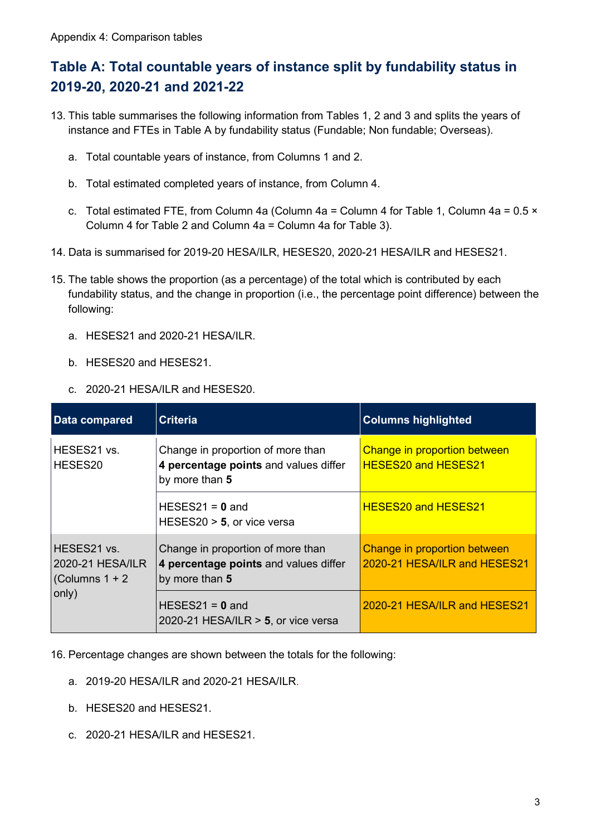#### **Table A: Total countable years of instance split by fundability status in 2019-20, 2020-21 and 2021-22**

- 13. This table summarises the following information from Tables 1, 2 and 3 and splits the years of instance and FTEs in Table A by fundability status (Fundable; Non fundable; Overseas).
	- a. Total countable years of instance, from Columns 1 and 2.
	- b. Total estimated completed years of instance, from Column 4.
	- c. Total estimated FTE, from Column 4a (Column 4a = Column 4 for Table 1, Column 4a =  $0.5 \times$ Column 4 for Table 2 and Column 4a = Column 4a for Table 3).
- 14. Data is summarised for 2019-20 HESA/ILR, HESES20, 2020-21 HESA/ILR and HESES21.
- 15. The table shows the proportion (as a percentage) of the total which is contributed by each fundability status, and the change in proportion (i.e., the percentage point difference) between the following:
	- a. HESES21 and 2020-21 HESA/ILR.
	- b. HESES20 and HESES21.
	- c. 2020-21 HESA/ILR and HESES20.

| Data compared                                                | <b>Criteria</b>                                                                              | <b>Columns highlighted</b>                                   |
|--------------------------------------------------------------|----------------------------------------------------------------------------------------------|--------------------------------------------------------------|
| HESES21 vs.<br>HESES20                                       | Change in proportion of more than<br>4 percentage points and values differ<br>by more than 5 | Change in proportion between<br><b>HESES20 and HESES21</b>   |
|                                                              | HESES21 = $0$ and<br>HESES20 $>$ 5, or vice versa                                            | <b>HESES20 and HESES21</b>                                   |
| HESES21 vs.<br>2020-21 HESA/ILR<br>(Columns $1 + 2$<br>only) | Change in proportion of more than<br>4 percentage points and values differ<br>by more than 5 | Change in proportion between<br>2020-21 HESA/ILR and HESES21 |
|                                                              | HESES21 = $0$ and<br>2020-21 HESA/ILR $>$ 5, or vice versa                                   | 2020-21 HESA/ILR and HESES21                                 |

16. Percentage changes are shown between the totals for the following:

- a. 2019-20 HESA/ILR and 2020-21 HESA/ILR.
- b. HESES20 and HESES21.
- c. 2020-21 HESA/ILR and HESES21.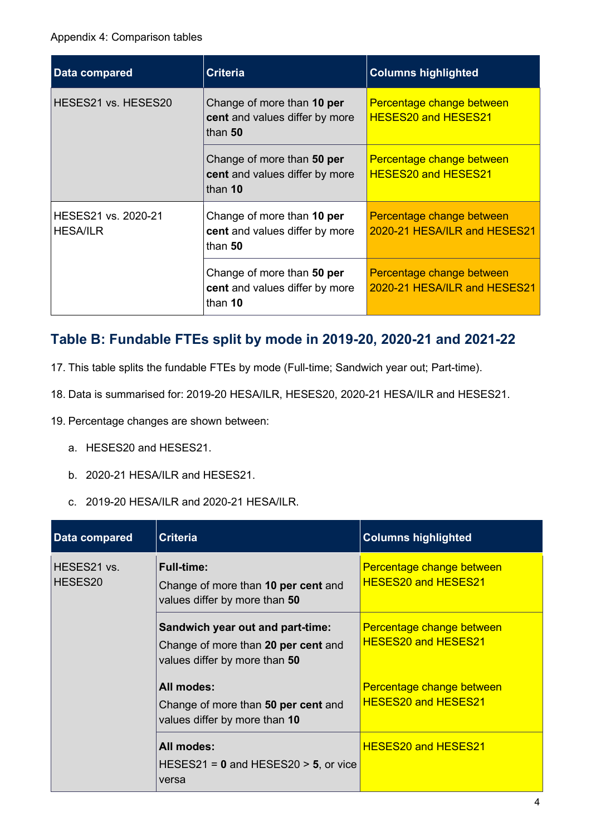| Data compared                          | <b>Criteria</b>                                                         | <b>Columns highlighted</b>                                |
|----------------------------------------|-------------------------------------------------------------------------|-----------------------------------------------------------|
| HESES21 vs. HESES20                    | Change of more than 10 per<br>cent and values differ by more<br>than 50 | Percentage change between<br><b>HESES20 and HESES21</b>   |
|                                        | Change of more than 50 per<br>cent and values differ by more<br>than 10 | Percentage change between<br><b>HESES20 and HESES21</b>   |
| HESES21 vs. 2020-21<br><b>HESA/ILR</b> | Change of more than 10 per<br>cent and values differ by more<br>than 50 | Percentage change between<br>2020-21 HESA/ILR and HESES21 |
|                                        | Change of more than 50 per<br>cent and values differ by more<br>than 10 | Percentage change between<br>2020-21 HESA/ILR and HESES21 |

#### **Table B: Fundable FTEs split by mode in 2019-20, 2020-21 and 2021-22**

- 17. This table splits the fundable FTEs by mode (Full-time; Sandwich year out; Part-time).
- 18. Data is summarised for: 2019-20 HESA/ILR, HESES20, 2020-21 HESA/ILR and HESES21.
- 19. Percentage changes are shown between:
	- a. HESES20 and HESES21.
	- b. 2020-21 HESA/ILR and HESES21.
	- c. 2019-20 HESA/ILR and 2020-21 HESA/ILR.

| Data compared          | <b>Criteria</b>                                                                                          | <b>Columns highlighted</b>                              |
|------------------------|----------------------------------------------------------------------------------------------------------|---------------------------------------------------------|
| HESES21 vs.<br>HESES20 | <b>Full-time:</b><br>Change of more than 10 per cent and<br>values differ by more than 50                | Percentage change between<br><b>HESES20 and HESES21</b> |
|                        | Sandwich year out and part-time:<br>Change of more than 20 per cent and<br>values differ by more than 50 | Percentage change between<br><b>HESES20 and HESES21</b> |
|                        | All modes:<br>Change of more than 50 per cent and<br>values differ by more than 10                       | Percentage change between<br><b>HESES20 and HESES21</b> |
|                        | All modes:<br>HESES21 = $0$ and HESES20 > 5, or vice<br>versa                                            | <b>HESES20 and HESES21</b>                              |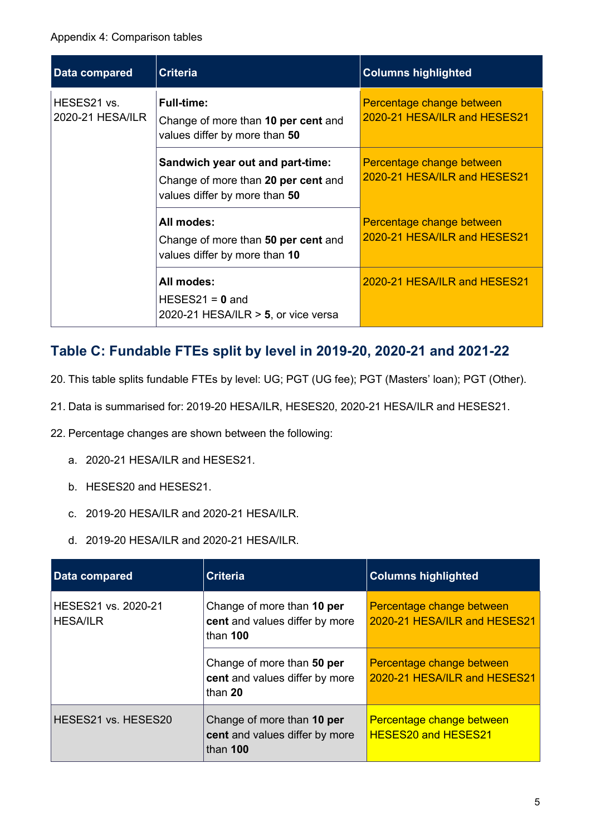| Data compared                   | <b>Criteria</b>                                                                                          | <b>Columns highlighted</b>                                |
|---------------------------------|----------------------------------------------------------------------------------------------------------|-----------------------------------------------------------|
| HESES21 vs.<br>2020-21 HESA/ILR | <b>Full-time:</b><br>Change of more than 10 per cent and<br>values differ by more than 50                | Percentage change between<br>2020-21 HESA/ILR and HESES21 |
|                                 | Sandwich year out and part-time:<br>Change of more than 20 per cent and<br>values differ by more than 50 | Percentage change between<br>2020-21 HESA/ILR and HESES21 |
|                                 | All modes:<br>Change of more than 50 per cent and<br>values differ by more than 10                       | Percentage change between<br>2020-21 HESA/ILR and HESES21 |
|                                 | All modes:<br>$HESES21 = 0$ and<br>2020-21 HESA/ILR $>$ 5, or vice versa                                 | 2020-21 HESA/ILR and HESES21                              |

#### **Table C: Fundable FTEs split by level in 2019-20, 2020-21 and 2021-22**

- 20. This table splits fundable FTEs by level: UG; PGT (UG fee); PGT (Masters' loan); PGT (Other).
- 21. Data is summarised for: 2019-20 HESA/ILR, HESES20, 2020-21 HESA/ILR and HESES21.
- 22. Percentage changes are shown between the following:
	- a. 2020-21 HESA/ILR and HESES21.
	- b. HESES20 and HESES21.
	- c. 2019-20 HESA/ILR and 2020-21 HESA/ILR.
	- d. 2019-20 HESA/ILR and 2020-21 HESA/ILR.

| Data compared                          | <b>Criteria</b>                                                            | <b>Columns highlighted</b>                                |
|----------------------------------------|----------------------------------------------------------------------------|-----------------------------------------------------------|
| HESES21 vs. 2020-21<br><b>HESA/ILR</b> | Change of more than 10 per<br>cent and values differ by more<br>than $100$ | Percentage change between<br>2020-21 HESA/ILR and HESES21 |
|                                        | Change of more than 50 per<br>cent and values differ by more<br>than 20    | Percentage change between<br>2020-21 HESA/ILR and HESES21 |
| HESES21 vs. HESES20                    | Change of more than 10 per<br>cent and values differ by more<br>than 100   | Percentage change between<br><b>HESES20 and HESES21</b>   |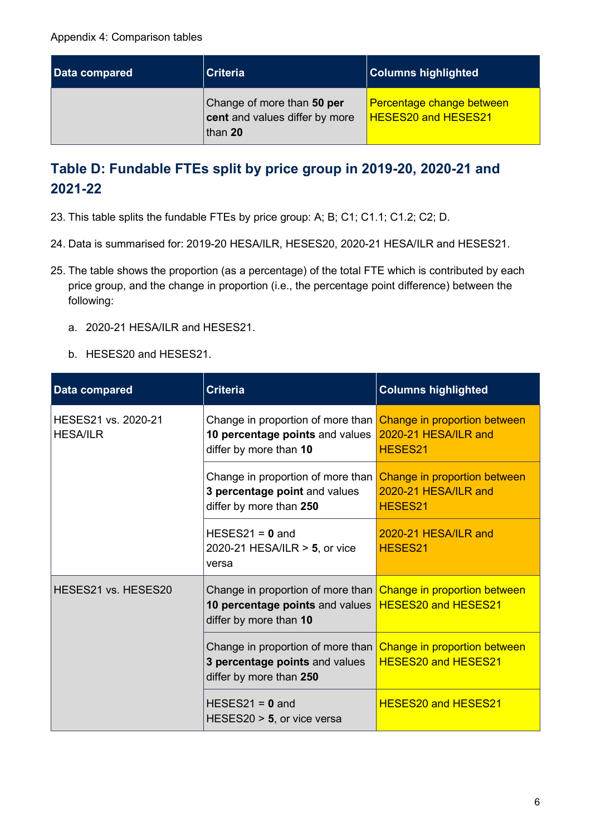| Data compared | <b>Criteria</b>                                                         | <b>Columns highlighted</b>                              |
|---------------|-------------------------------------------------------------------------|---------------------------------------------------------|
|               | Change of more than 50 per<br>cent and values differ by more<br>than 20 | Percentage change between<br><b>HESES20 and HESES21</b> |

# **Table D: Fundable FTEs split by price group in 2019-20, 2020-21 and 2021-22**

- 23. This table splits the fundable FTEs by price group: A; B; C1; C1.1; C1.2; C2; D.
- 24. Data is summarised for: 2019-20 HESA/ILR, HESES20, 2020-21 HESA/ILR and HESES21.
- 25. The table shows the proportion (as a percentage) of the total FTE which is contributed by each price group, and the change in proportion (i.e., the percentage point difference) between the following:
	- a. 2020-21 HESA/ILR and HESES21.
	- b. HESES20 and HESES21.

| <b>Data compared</b>                   | <b>Criteria</b>                                                                                                                                   | <b>Columns highlighted</b>                                      |
|----------------------------------------|---------------------------------------------------------------------------------------------------------------------------------------------------|-----------------------------------------------------------------|
| HESES21 vs. 2020-21<br><b>HESA/ILR</b> | Change in proportion of more than<br>10 percentage points and values<br>differ by more than 10                                                    | Change in proportion between<br>2020-21 HESA/ILR and<br>HESES21 |
|                                        | Change in proportion of more than<br>3 percentage point and values<br>differ by more than 250                                                     | Change in proportion between<br>2020-21 HESA/ILR and<br>HESES21 |
|                                        | HESES21 = $0$ and<br>2020-21 HESA/ILR $>$ 5, or vice<br>versa                                                                                     | 2020-21 HESA/ILR and<br>HESES21                                 |
| HESES21 vs. HESES20                    | Change in proportion of more than Change in proportion between<br>10 percentage points and values   HESES20 and HESES21<br>differ by more than 10 |                                                                 |
|                                        | Change in proportion of more than<br>3 percentage points and values<br>differ by more than 250                                                    | Change in proportion between<br><b>HESES20 and HESES21</b>      |
|                                        | $HESES21 = 0$ and<br>HESES20 $>$ 5, or vice versa                                                                                                 | <b>HESES20 and HESES21</b>                                      |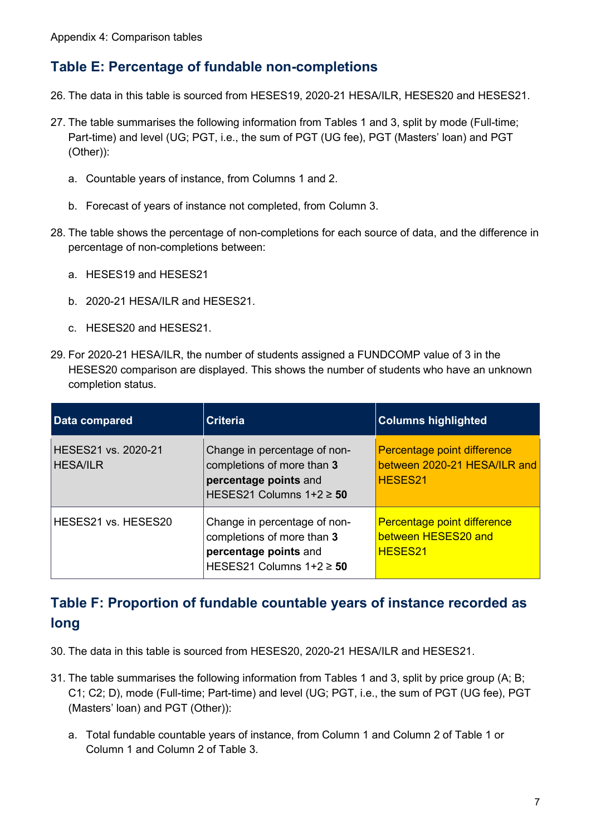#### **Table E: Percentage of fundable non-completions**

- 26. The data in this table is sourced from HESES19, 2020-21 HESA/ILR, HESES20 and HESES21.
- 27. The table summarises the following information from Tables 1 and 3, split by mode (Full-time; Part-time) and level (UG; PGT, i.e., the sum of PGT (UG fee), PGT (Masters' loan) and PGT (Other)):
	- a. Countable years of instance, from Columns 1 and 2.
	- b. Forecast of years of instance not completed, from Column 3.
- 28. The table shows the percentage of non-completions for each source of data, and the difference in percentage of non-completions between:
	- a. HESES19 and HESES21
	- b. 2020-21 HESA/ILR and HESES21.
	- c. HESES20 and HESES21.
- 29. For 2020-21 HESA/ILR, the number of students assigned a FUNDCOMP value of 3 in the HESES20 comparison are displayed. This shows the number of students who have an unknown completion status.

| Data compared                          | <b>Criteria</b>                                                                                                     | <b>Columns highlighted</b>                                             |
|----------------------------------------|---------------------------------------------------------------------------------------------------------------------|------------------------------------------------------------------------|
| HESES21 vs. 2020-21<br><b>HESA/ILR</b> | Change in percentage of non-<br>completions of more than 3<br>percentage points and<br>HESES21 Columns $1+2 \ge 50$ | Percentage point difference<br>between 2020-21 HESA/ILR and<br>HESES21 |
| HESES21 vs. HESES20                    | Change in percentage of non-<br>completions of more than 3<br>percentage points and<br>HESES21 Columns $1+2 \ge 50$ | Percentage point difference<br>between HESES20 and<br><b>HESES21</b>   |

# **Table F: Proportion of fundable countable years of instance recorded as long**

- 30. The data in this table is sourced from HESES20, 2020-21 HESA/ILR and HESES21.
- 31. The table summarises the following information from Tables 1 and 3, split by price group (A; B; C1; C2; D), mode (Full-time; Part-time) and level (UG; PGT, i.e., the sum of PGT (UG fee), PGT (Masters' loan) and PGT (Other)):
	- a. Total fundable countable years of instance, from Column 1 and Column 2 of Table 1 or Column 1 and Column 2 of Table 3.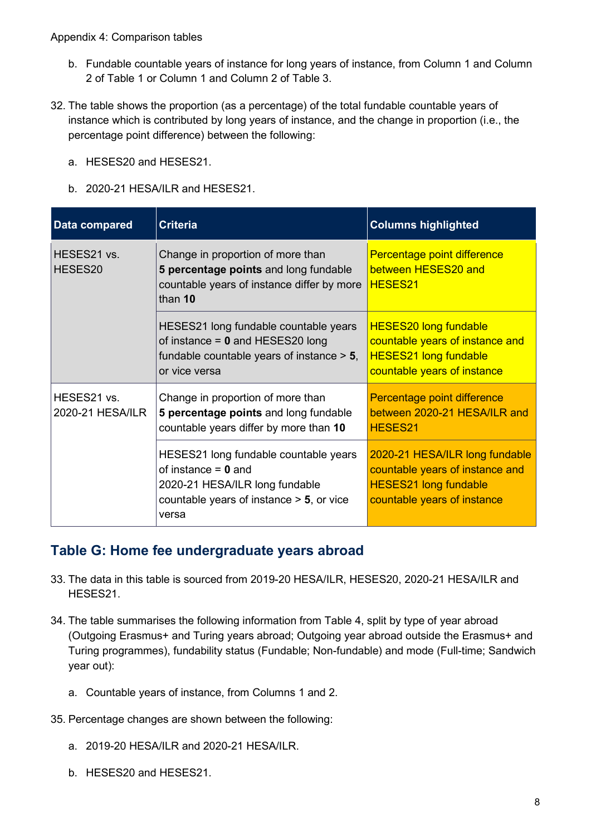- b. Fundable countable years of instance for long years of instance, from Column 1 and Column 2 of Table 1 or Column 1 and Column 2 of Table 3.
- 32. The table shows the proportion (as a percentage) of the total fundable countable years of instance which is contributed by long years of instance, and the change in proportion (i.e., the percentage point difference) between the following:
	- a. HESES20 and HESES21.
	- b. 2020-21 HESA/ILR and HESES21.

| Data compared                   | <b>Criteria</b>                                                                                                                                          | <b>Columns highlighted</b>                                                                                                       |
|---------------------------------|----------------------------------------------------------------------------------------------------------------------------------------------------------|----------------------------------------------------------------------------------------------------------------------------------|
| HESES21 vs.<br>HESES20          | Change in proportion of more than<br>5 percentage points and long fundable<br>countable years of instance differ by more<br>than 10                      | Percentage point difference<br>between HESES20 and<br>HESES21                                                                    |
|                                 | HESES21 long fundable countable years<br>of instance $= 0$ and HESES20 long<br>fundable countable years of instance $> 5$ ,<br>or vice versa             | <b>HESES20 long fundable</b><br>countable years of instance and<br><b>HESES21 long fundable</b><br>countable years of instance   |
| HESES21 vs.<br>2020-21 HESA/ILR | Change in proportion of more than<br>5 percentage points and long fundable<br>countable years differ by more than 10                                     | Percentage point difference<br>between 2020-21 HESA/ILR and<br>HESES21                                                           |
|                                 | HESES21 long fundable countable years<br>of instance $= 0$ and<br>2020-21 HESA/ILR long fundable<br>countable years of instance $> 5$ , or vice<br>versa | 2020-21 HESA/ILR long fundable<br>countable years of instance and<br><b>HESES21 long fundable</b><br>countable years of instance |

#### **Table G: Home fee undergraduate years abroad**

- 33. The data in this table is sourced from 2019-20 HESA/ILR, HESES20, 2020-21 HESA/ILR and HESES21.
- 34. The table summarises the following information from Table 4, split by type of year abroad (Outgoing Erasmus+ and Turing years abroad; Outgoing year abroad outside the Erasmus+ and Turing programmes), fundability status (Fundable; Non-fundable) and mode (Full-time; Sandwich year out):
	- a. Countable years of instance, from Columns 1 and 2.
- 35. Percentage changes are shown between the following:
	- a. 2019-20 HESA/ILR and 2020-21 HESA/ILR.
	- b. HESES20 and HESES21.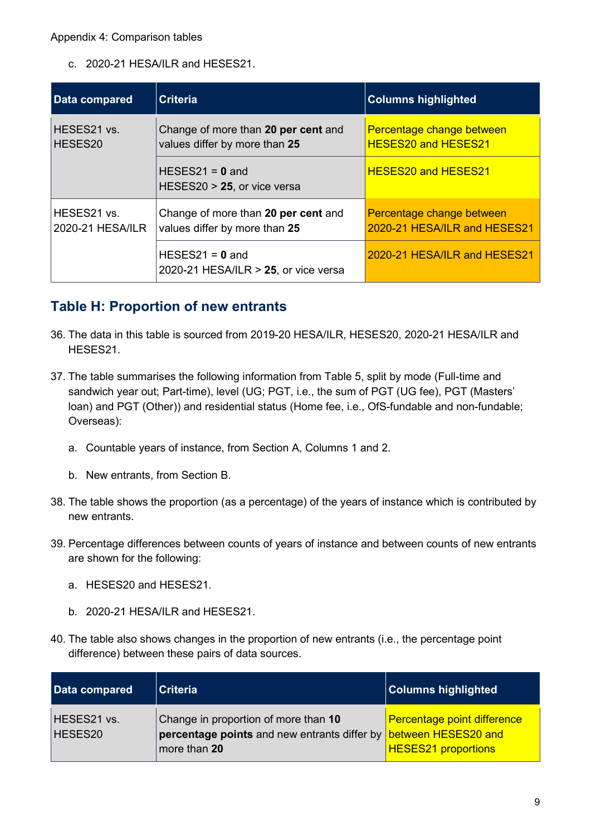c. 2020-21 HESA/ILR and HESES21.

| Data compared                   | <b>Criteria</b>                                                      | <b>Columns highlighted</b>                                |
|---------------------------------|----------------------------------------------------------------------|-----------------------------------------------------------|
| HESES21 vs.<br>HESES20          | Change of more than 20 per cent and<br>values differ by more than 25 | Percentage change between<br><b>HESES20 and HESES21</b>   |
|                                 | HESES21 = $0$ and<br>HESES20 $> 25$ , or vice versa                  | <b>HESES20 and HESES21</b>                                |
| HESES21 vs.<br>2020-21 HESA/ILR | Change of more than 20 per cent and<br>values differ by more than 25 | Percentage change between<br>2020-21 HESA/ILR and HESES21 |
|                                 | HESES21 = $0$ and<br>2020-21 HESA/ILR $>$ 25, or vice versa          | 2020-21 HESA/ILR and HESES21                              |

#### **Table H: Proportion of new entrants**

- 36. The data in this table is sourced from 2019-20 HESA/ILR, HESES20, 2020-21 HESA/ILR and HESES21.
- 37. The table summarises the following information from Table 5, split by mode (Full-time and sandwich year out; Part-time), level (UG; PGT, i.e., the sum of PGT (UG fee), PGT (Masters' loan) and PGT (Other)) and residential status (Home fee, i.e., OfS-fundable and non-fundable; Overseas):
	- a. Countable years of instance, from Section A, Columns 1 and 2.
	- b. New entrants, from Section B.
- 38. The table shows the proportion (as a percentage) of the years of instance which is contributed by new entrants.
- 39. Percentage differences between counts of years of instance and between counts of new entrants are shown for the following:
	- a. HESES20 and HESES21.
	- b. 2020-21 HESA/ILR and HESES21.
- 40. The table also shows changes in the proportion of new entrants (i.e., the percentage point difference) between these pairs of data sources.

| Data compared          | <b>Criteria</b>                                                                                          | <b>Columns highlighted</b>         |
|------------------------|----------------------------------------------------------------------------------------------------------|------------------------------------|
| HESES21 vs.<br>HESES20 | Change in proportion of more than 10<br>percentage points and new entrants differ by between HESES20 and | <b>Percentage point difference</b> |
|                        | more than $20$                                                                                           | <b>HESES21 proportions</b>         |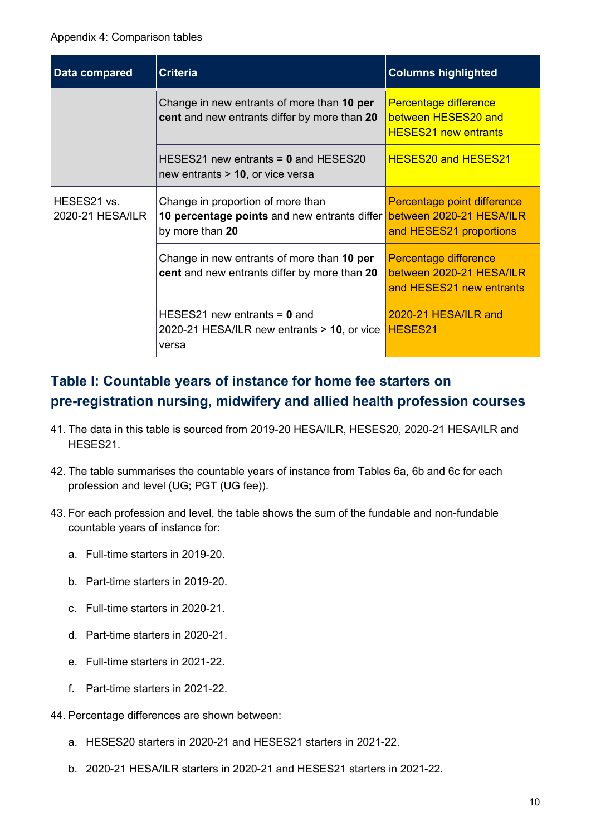| Data compared                   | <b>Criteria</b>                                                                                      | <b>Columns highlighted</b>                                                         |
|---------------------------------|------------------------------------------------------------------------------------------------------|------------------------------------------------------------------------------------|
|                                 | Change in new entrants of more than 10 per<br><b>cent</b> and new entrants differ by more than 20    | Percentage difference<br>between HESES20 and<br><b>HESES21 new entrants</b>        |
|                                 | HESES21 new entrants $= 0$ and HESES20<br>new entrants $> 10$ , or vice versa                        | <b>HESES20 and HESES21</b>                                                         |
| HESES21 vs.<br>2020-21 HESA/ILR | Change in proportion of more than<br>10 percentage points and new entrants differ<br>by more than 20 | Percentage point difference<br>between 2020-21 HESA/ILR<br>and HESES21 proportions |
|                                 | Change in new entrants of more than 10 per<br>cent and new entrants differ by more than 20           | Percentage difference<br>between 2020-21 HESA/ILR<br>and HESES21 new entrants      |
|                                 | HESES21 new entrants $= 0$ and<br>2020-21 HESA/ILR new entrants $> 10$ , or vice<br>versa            | 2020-21 HESA/ILR and<br>HESES21                                                    |

# **Table I: Countable years of instance for home fee starters on pre-registration nursing, midwifery and allied health profession courses**

- 41. The data in this table is sourced from 2019-20 HESA/ILR, HESES20, 2020-21 HESA/ILR and HESES21.
- 42. The table summarises the countable years of instance from Tables 6a, 6b and 6c for each profession and level (UG; PGT (UG fee)).
- 43. For each profession and level, the table shows the sum of the fundable and non-fundable countable years of instance for:
	- a. Full-time starters in 2019-20.
	- b. Part-time starters in 2019-20.
	- c. Full-time starters in 2020-21.
	- d. Part-time starters in 2020-21.
	- e. Full-time starters in 2021-22.
	- f. Part-time starters in 2021-22.
- 44. Percentage differences are shown between:
	- a. HESES20 starters in 2020-21 and HESES21 starters in 2021-22.
	- b. 2020-21 HESA/ILR starters in 2020-21 and HESES21 starters in 2021-22.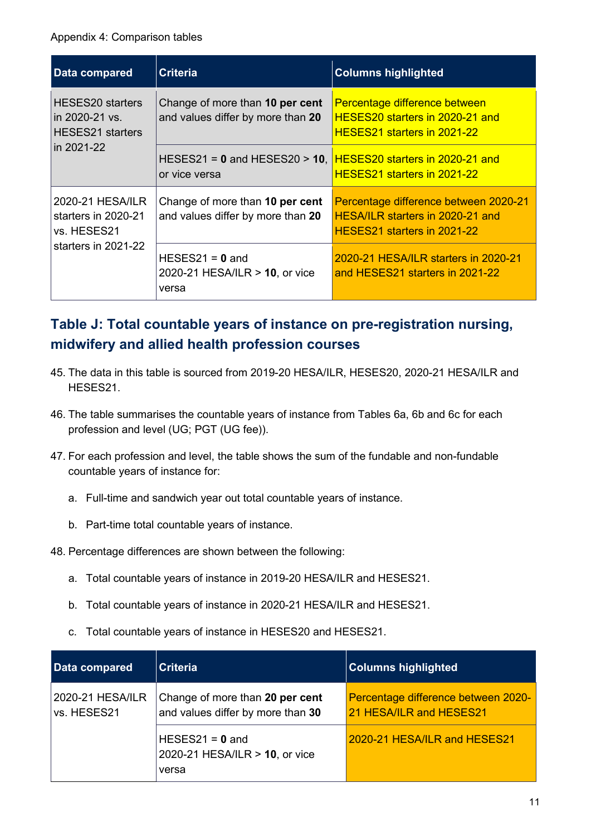#### Appendix 4: Comparison tables

| Data compared                                                                 | <b>Criteria</b>                                                                | <b>Columns highlighted</b>                                                                               |
|-------------------------------------------------------------------------------|--------------------------------------------------------------------------------|----------------------------------------------------------------------------------------------------------|
| HESES20 starters<br>in 2020-21 vs.<br><b>HESES21</b> starters<br>in 2021-22   | Change of more than 10 per cent<br>and values differ by more than 20           | Percentage difference between<br>HESES20 starters in 2020-21 and<br>HESES21 starters in 2021-22          |
|                                                                               | HESES21 = 0 and HESES20 > 10, HESES20 starters in 2020-21 and<br>or vice versa | HESES21 starters in 2021-22                                                                              |
| 2020-21 HESA/ILR<br>starters in 2020-21<br>vs. HESES21<br>starters in 2021-22 | Change of more than 10 per cent<br>and values differ by more than 20           | Percentage difference between 2020-21<br>HESA/ILR starters in 2020-21 and<br>HESES21 starters in 2021-22 |
|                                                                               | HESES21 = $0$ and<br>2020-21 HESA/ILR > 10, or vice<br>versa                   | 2020-21 HESA/ILR starters in 2020-21<br>and HESES21 starters in 2021-22                                  |

# **Table J: Total countable years of instance on pre-registration nursing, midwifery and allied health profession courses**

- 45. The data in this table is sourced from 2019-20 HESA/ILR, HESES20, 2020-21 HESA/ILR and HESES21.
- 46. The table summarises the countable years of instance from Tables 6a, 6b and 6c for each profession and level (UG; PGT (UG fee)).
- 47. For each profession and level, the table shows the sum of the fundable and non-fundable countable years of instance for:
	- a. Full-time and sandwich year out total countable years of instance.
	- b. Part-time total countable years of instance.
- 48. Percentage differences are shown between the following:
	- a. Total countable years of instance in 2019-20 HESA/ILR and HESES21.
	- b. Total countable years of instance in 2020-21 HESA/ILR and HESES21.
	- c. Total countable years of instance in HESES20 and HESES21.

| Data compared                   | <b>Criteria</b>                                                      | <b>Columns highlighted</b>                                     |
|---------------------------------|----------------------------------------------------------------------|----------------------------------------------------------------|
| 2020-21 HESA/ILR<br>vs. HESES21 | Change of more than 20 per cent<br>and values differ by more than 30 | Percentage difference between 2020-<br>21 HESA/ILR and HESES21 |
|                                 | $HESES21 = 0$ and<br>2020-21 HESA/ILR > 10, or vice<br>versa         | 2020-21 HESA/ILR and HESES21                                   |